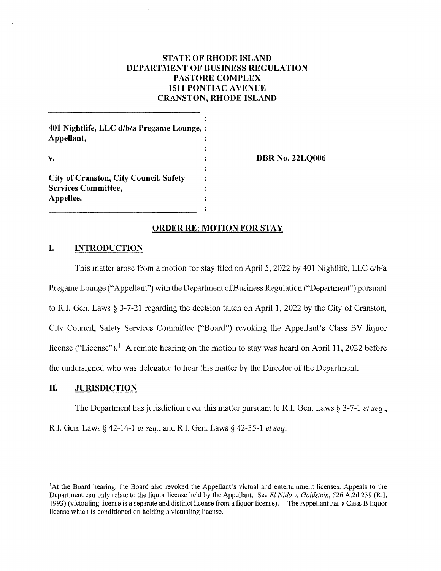# **STATE OF RHODE ISLAND DEPARTMENT OF BUSINESS REGULATION PASTORE COMPLEX 1511 PONTIAC A VENUE CRANSTON, RHODE ISLAND**

| 401 Nightlife, LLC d/b/a Pregame Lounge, :<br>Appellant, |  |
|----------------------------------------------------------|--|
| v.                                                       |  |
|                                                          |  |
| City of Cranston, City Council, Safety                   |  |
| <b>Services Committee,</b>                               |  |

**DBR No. 22LQ006** 

### **ORDER RE: MOTION FOR STAY**

 $\ddot{\phantom{a}}$  $\ddot{\phantom{a}}$ 

## **I. INTRODUCTION**

**Appellee.** 

This matter arose from a motion for stay filed on April 5, 2022 by 401 Nightlife, LLC d/b/a Pregame Lounge ("Appellant") with the Department of Business Regulation ("Department") pursuant to R.L Gen. Laws§ 3-7-21 regarding the decision taken on April 1, 2022 by the City of Cranston, City Council, Safety Services Committee ("Board") revoking the Appellant's Class BV liquor license ("License").<sup>1</sup> A remote hearing on the motion to stay was heard on April 11, 2022 before the undersigned who was delegated to hear this matter by the Director of the Department.

### **II. JURISDICTION**

The Department has jurisdiction over this matter pursuant to R.I. Gen. Laws § 3-7-1 *et seq.,*  R.I. Gen. Laws§ 42-14-1 *et seq.,* and R.I. Gen. Laws§ 42-35-1 *et seq.* 

<sup>1</sup> At the Board hearing, the Board also revoked the Appellant's victual and entertainment licenses. Appeals to the Department can only relate to the liquor license held by the Appellant. See *El Nido v. Goldstein,* 626 A.2d 239 (R.I. 1993) (victnaling license is a separate and distinct license from a liquor license). The Appellant has a Class B liquor license which is conditioned on holding a victualing license.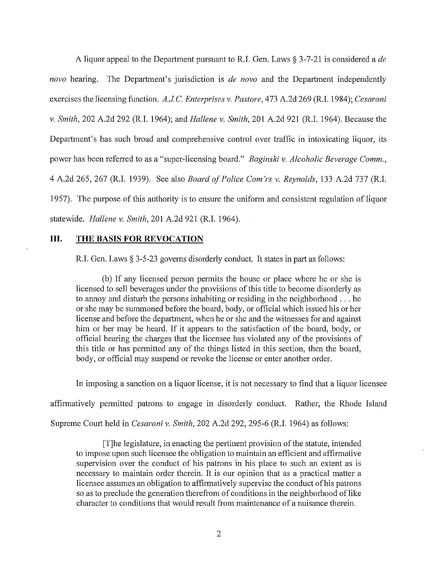A liquor appeal to the Department pursuant to R.I. Gen. Laws§ 3-7-21 is considered a *de nova* hearing. The Department's jurisdiction is *de nova* and the Department independently exercises the licensing function. A.J.C. Enterprises v. Pastore, 473 A.2d 269 (R.I. 1984); *Cesaroni v. Smith,* 202 A.2d 292 (R.I. 1964); and *Hallene v. Smith,* 201 A.2d 921 (R.I. 1964). Because the Department's has such broad and comprehensive control over traffic in intoxicating liquor, its power has been referred to as a "super-licensing board." *Baginski v. Alcoholic Beverage Comm.,*  4 A.2d 265, 267 (R.I. 1939). See also *Board of Police Com 'rs v. Reynolds,* 133 A.2d 737 (R.I. 1957). The purpose of this authority is to ensure the uniform and consistent regulation of liquor statewide. *Hallene v. Smith,* 201 A.2d 921 (R.I. 1964).

### **III. THE BASIS FOR REVOCATION**

R.I. Gen. Laws § 3-5-23 governs disorderly conduct. It states in part as follows:

(b) If any licensed person permits the house or place where he or she is licensed to sell beverages under the provisions of this title to become disorderly as to annoy and disturb the persons inhabiting or residing in the neighborhood ... he or she may be summoned before the board, body, or official which issued his or her license and before the department, when he or she and the witnesses for and against him or her may be heard. If it appears to the satisfaction of the board, body, or official hearing the charges that the licensee has violated any of the provisions of this title or has permitted any of the things listed in this section, then the board, body, or official may suspend or revoke the license or enter another order.

In imposing a sanction on a liquor license, it is not necessary to find that a liquor licensee

affirmatively permitted patrons to engage in disorderly conduct. Rather, the Rhode Island

Supreme Court held in *Cesaroni v. Smith*, 202 A.2d 292, 295-6 (R.I. 1964) as follows:

[T]he legislature, in enacting the pertinent provision of the statute, intended to impose upon such licensee the obligation to maintain an efficient and affirmative supervision over the conduct of his patrons in his place to such an extent as is necessary to maintain order therein. It is our opinion that as a practical matter a licensee assumes an obligation to affirmatively supervise the conduct of his patrons so as to preclude the generation therefrom of conditions in the neighborhood of like character to conditions that would result from maintenance of a nuisance therein.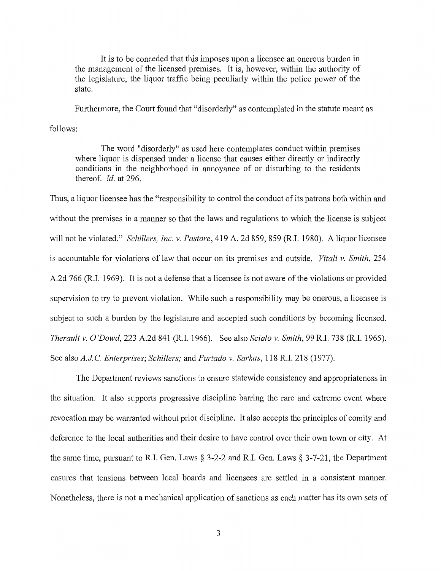It is to be conceded that this imposes upon a licensee an onerous burden in the management of the licensed premises. It is, however, within the authority of the legislature, the liquor traffic being peculiarly within the police power of the state.

Furthermore, the Court found that "disorderly" as contemplated in the statute meant as

follows:

The word "disorderly'' as used here contemplates conduct within premises where liquor is dispensed under a license that causes either directly or indirectly conditions in the neighborhood in annoyance of or disturbing to the residents thereof. *Id.* at 296.

Thus, a liquor licensee has the "responsibility to control the conduct of its patrons both within and without the premises in a manner so that the laws and regulations to which the license is subject will not be violated." *Schillers, Inc. v. Pastore,* 419 A. 2d 859, 859 (R.I. 1980). A liquor licensee is accountable for violations of law that occur on its premises and outside. *Vitali v. Smith,* 254 A.2d 766 (R.I. 1969). It is not a defense that a licensee is not aware of the violations or provided supervision to try to prevent violation. While such a responsibility may be onerous, a licensee is subject to such a burden by the legislature and accepted such conditions by becoming licensed. *Therault v.* 0 *'Dowd,* 223 A.2d 841 (R.I. 1966). See also *Scialo v. Smith,* 99 R.I. 73 8 (R.I. 1965). See also *A.JC. Enterprises; Schillers;* and *Furtado v. Sarkas,* 118 R.I. 218 (1977).

The Department reviews sanctions to ensure statewide consistency and appropriateness in the situation. It also supports progressive discipline barring the rare and extreme event where revocation may be warranted without prior discipline. It also accepts the principles of comity and deference to the local authorities and their desire to have control over their own town or city. At the same time, pursuant to R.I. Gen. Laws  $\S$  3-2-2 and R.I. Gen. Laws  $\S$  3-7-21, the Department ensures that tensions between local boards and licensees are settled in a consistent manner. Nonetheless, there is not a mechanical application of sanctions as each matter has its own sets of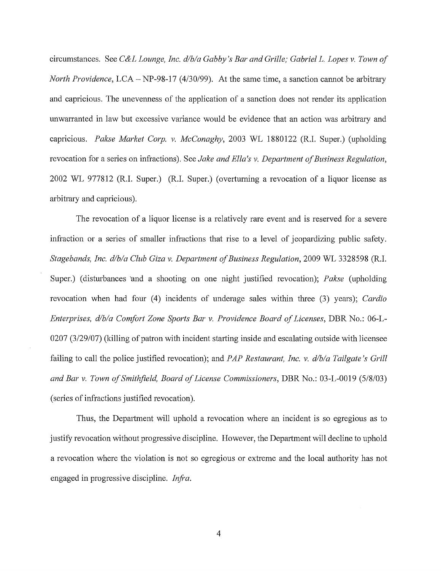circumstances. See *C&L Lounge, Inc. d/b/a Gabby's Bar and Grille; Gabriel* L. *Lopes v. Town of North Providence,* LCA- NP-98-17 (4/30/99). At the same time, a sanction cannot be arbitrary and capricious. The unevenness of the application of a sanction does not render its application unwarranted in law but excessive variance would be evidence that an action was arbitrary and capricious. *Pakse Market Corp. v. McConaghy,* 2003 WL 1880122 (R.I. Super.) (upholding revocation for a series on infractions). See *Jake and Ella's v. Department of Business Regulation,*  2002 WL 977812 (R.I. Super.) (R.I. Super.) (overturning a revocation of a liquor license as arbitrary and capricious).

The revocation of a liquor license is a relatively rare event and is reserved for a severe infraction or a series of smaller infractions that rise to a level of jeopardizing public safety. *Stagehands, Inc. d/b/a Club Giza v. Department of Business Regulation,* 2009 WL 3328598 (R.I. Super.) (disturbances 'and a shooting on one night justified revocation); *Pakse* (upholding revocation when had four (4) incidents of underage sales within three (3) years); *Cardio Enterprises, d/b/a Comfort Zone Sports Bar v. Providence Board of Licenses,* DBR No.: 06-L- $0207$  (3/29/07) (killing of patron with incident starting inside and escalating outside with licensee failing to call the police justified revocation); and *PAP Restaurant, Inc. v. d/b/a Tailgate's Grill and Bar v. Town of Smithfield, Board of License Commissioners,* DBR No.: 03-L-0019 (5/8/03) (series of infractions justified revocation).

Thus, the Department will uphold a revocation where an incident is so egregious as to justify revocation without progressive discipline. However, the Department will decline to uphold a revocation where the violation is not so egregious or extreme and the local authority has not engaged in progressive discipline. *Infra*.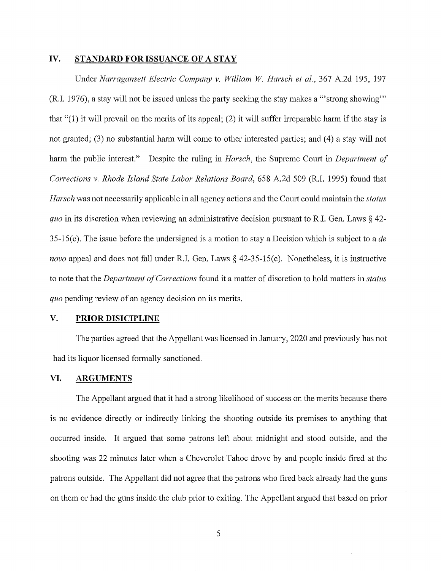### **IV. STANDARD FOR ISSUANCE OF A STAY**

Under *Narragansett Electric Company v. William W Harsch et al.,* 367 A.2d 195, 197 (R.I. 1976), a stay will not be issued unless the party seeking the stay makes a '"strong showing'" that "(1) it will prevail on the merits of its appeal; (2) it will suffer irreparable harm if the stay is not granted; (3) no substantial harm will come to other interested parties; and (4) a stay will not hann the public interest." Despite the ruling in *Harsch,* the Supreme Court in *Department of Corrections v. Rhode Island State Labor Relations Board,* 658 A.2d 509 (R.I. 1995) found that *Harsch* was not necessarily applicable in all agency actions and the Court could maintain the *status quo* in its discretion when reviewing an administrative decision pursuant to R.I. Gen. Laws§ 42- 35-15(c). The issue before the undersigned is a motion to stay a Decision which is subject to a *de novo* appeal and does not fall under R.I. Gen. Laws § 42-35-15(c). Nonetheless, it is instructive to note that the *Department of Corrections* found it a matter of discretion to hold matters in *status quo* pending review of an agency decision on its merits.

### **V. PRIOR DISICIPLINE**

The parties agreed that the Appellant was licensed in January, 2020 and previously has not had its liquor licensed formally sanctioned.

# **VI. ARGUMENTS**

The Appellant argued that it had a strong likelihood of success on the merits because there is no evidence directly or indirectly linking the shooting outside its premises to anything that occurred inside. It argued that some patrons left about midnight and stood outside, and the shooting was 22 minutes later when a Cheverolet Tahoe drove by and people inside fired at the patrons outside. The Appellant did not agree that the patrons who fired back already had the guns on them or had the guns inside the club prior to exiting. The Appellant argued that based on prior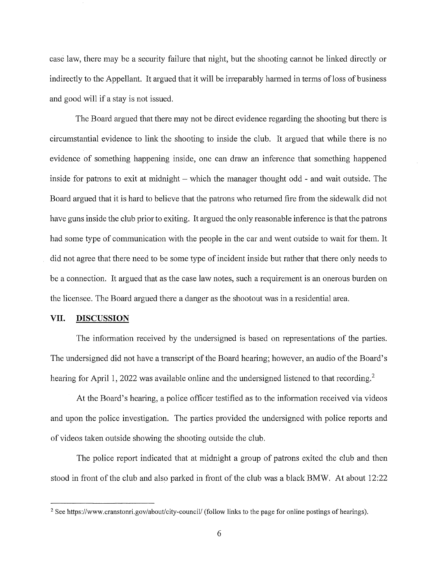case law, there may be a security failure that night, but the shooting cannot be linked directly or indirectly to the Appellant. It argued that it will be irreparably harmed in terms of loss of business and good will if a stay is not issued.

The Board argued that there may not be direct evidence regarding the shooting but there is circumstantial evidence to link the shooting to inside the club. It argued that while there is no evidence of something happening inside, one can draw an inference that something happened inside for patrons to exit at midnight  $-$  which the manager thought odd  $-$  and wait outside. The Board argued that it is hard to believe that the patrons who returned fire from the sidewalk did not have guns inside the club prior to exiting. It argued the only reasonable inference is that the patrons had some type of communication with the people in the car and went outside to wait for them. It did not agree that there need to be some type of incident inside but rather that there only needs to be a connection. It argued that as the case law notes, such a requirement is an onerous burden on the licensee. The Board argued there a danger as the shootout was in a residential area.

### **VII. DISCUSSION**

The information received by the undersigned is based on representations of the parties. The undersigned did not have a transcript of the Board hearing; however, an audio of the Board's hearing for April 1, 2022 was available online and the undersigned listened to that recording.<sup>2</sup>

At the Board's hearing, a police officer testified as to the information received via videos and upon the police investigation. The patties provided the undersigned with police reports and of videos taken outside showing the shooting outside the club.

The police report indicated that at midnight a group of patrons exited the club and then stood in front of the club and also parked in front of the club was a black BMW. At about 12:22

<sup>&</sup>lt;sup>2</sup> See https://www.cranstonri.gov/about/city-council/ (follow links to the page for online postings of hearings).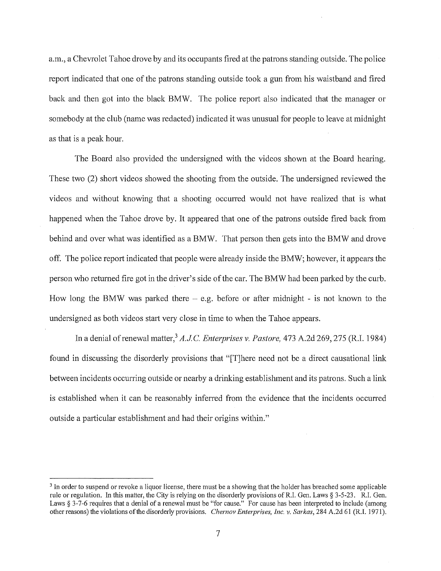a.m., a Chevrolet Tahoe drove by and its occupants fired at the patrons standing outside. The police report indicated that one of the patrons standing outside took a gun from his waistband and fired back and then got into the black BMW. The police report also indicated that the manager or somebody at the club (name was redacted) indicated it was unusual for people to leave at midnight as that is a peak hour.

The Board also provided the undersigned with the videos shown at the Board hearing. These two (2) short videos showed the shooting from the outside. The undersigned reviewed the videos and without knowing that a shooting occurred would not have realized that is what happened when the Tahoe drove by. It appeared that one of the patrons outside fired back from behind and over what was identified as a BMW. That person then gets into the BMW and drove off. The police report indicated that people were already inside the BMW; however, it appears the person who returned fire got in the driver's side of the car. The BMW had been parked by the curb. How long the BMW was parked there  $-$  e.g. before or after midnight - is not known to the undersigned as both videos start very close in time to when the Tahoe appears.

In a denial ofrenewal matter,3 *A.JC. Enterprises v. Pastore,* 473 A.2d 269,275 (R.I. 1984) found in discussing the disorderly provisions that "[T]here need not be a direct causational link between incidents occurring outside or nearby a drinking establishment and its patrons. Such a link is established when it can be reasonably inferred from the evidence that the incidents occurred outside a particular establishment and had their origins within."

<sup>&</sup>lt;sup>3</sup> In order to suspend or revoke a liquor license, there must be a showing that the holder has breached some applicable rule or regulation. In this matter, the City is relying on the disorderly provisions of R.I. Gen. Laws § 3-5-23. R.I. Gen. Laws § 3-7-6 requires that a denial of a renewal must be "for cause." For cause has been interpreted to include (among other reasons) the violations of the disorderly provisions. *Chernov Enterprises, Inc. v. Sarkas,* 284 A.2d 61 (R.I. 1971 ).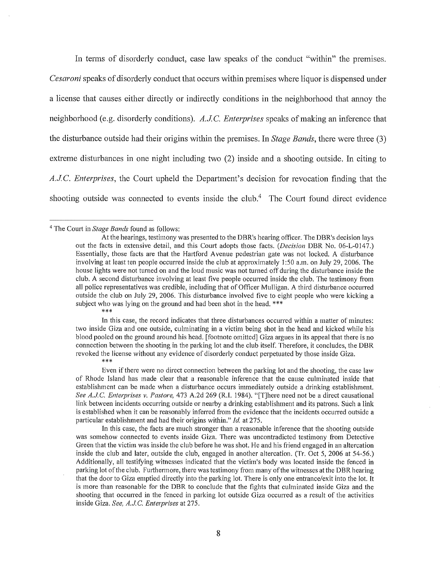In terms of disorderly conduct, case law speaks of the conduct "within" the premises. *Cesaroni* speaks of disorderly conduct that occurs within premises where liquor is dispensed under a license that causes either directly or indirectly conditions in the neighborhood that annoy the neighborhood (e.g. disorderly conditions). A.J.C. Enterprises speaks of making an inference that the disturbance outside had their origins within the premises. In *Stage Bands,* there were three (3) extreme disturbances in one night including two (2) inside and a shooting outside. In citing to *A.J.C. Enterprises,* the Court upheld the Department's decision for revocation finding that the shooting outside was connected to events inside the club.<sup>4</sup> The Court found direct evidence

\*\*\*

In this case, the record indicates that three disturbances occurred within a matter of minutes: two inside Giza and one outside, culminating in a victim being shot in the head and kicked while his blood pooled on the ground around his head. [footnote omitted] Giza argues in its appeal that there is no connection between the shooting in the parking lot and the club itself. Therefore, it concludes, the DBR revoked the license without any evidence of disorderly conduct perpetuated by those inside Giza.

\*\*\*

In this case, the facts are much stronger than a reasonable inference that the shooting outside was somehow connected to events inside Giza. There was uncontradicted testimony from Detective Green that the victim was inside the club before he was shot. He and his friend engaged **in** an altercation inside the club and later, outside the club, engaged in another altercation. (Tr. Oct 5, 2006 at 54-56.) Additionally, all testifying witnesses indicated that the victim's body was located inside the fenced **in**  parking lot of the club. Furthermore, there was testimony from many of the witnesses at the DBR hearing that the door to Giza emptied directly into the parking lot. There is only one entrance/exit into the lot. It is more than reasonable for the DBR to conclude that the fights that culminated inside Giza and the shooting that occurred in the fenced in parking lot outside Giza occurred as a result of the activities inside Giza. *See, A.J.C. Enterprises* at 275.

<sup>4</sup>The Court in *Stage Bands* found as follows:

At the hearings, testimony was presented to the DBR's hearing officer. The DBR's decision lays out the facts in extensive detail, and this Court adopts those facts. *(Decision* DBR No. 06-1-0147.) Essentially, those facts are that the Hartford Avenue pedestrian gate was not locked. A disturbance involving at least ten people occurred inside the club at approximately 1 :50 a.m. on July 29, 2006. The house lights were not turned on and the loud music was not turned off during the disturbance inside the club. A second disturbance involving at least five people occurred inside the club. The testimony from all police representatives was credible, including that of Officer Mulligan. A third disturbance occurred outside the club on July 29, 2006. This disturbance involved five to eight people who were kicking a subject who was lying on the ground and had been shot in the head. \*\*\*

Even ifthere were no direct connection between the parking lot and the shooting, the case law of Rhode Island has made clear that a reasonable inference that the cause culminated inside that establishment can be made when a disturbance occurs immediately outside a drinking establishment. *See A.J.C. Enterprises v. Pastore, 473 A.2d 269 (R.I. 1984).* "[T]here need not be a direct causational link between incidents occurring outside or nearby a drinking establishment and its patrons. Such a link is established when it can be reasonably inferred from the evidence that the incidents occurred outside a particular establishment and had their origins within." *Id.* at 275.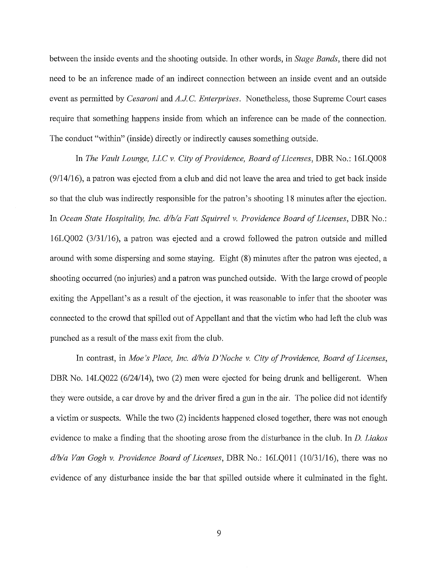between the inside events and the shooting outside. In other words, in *Stage Bands,* there did not need to be an inference made of an indirect connection between an inside event and an outside event as permitted by *Cesaroni* and *A.J.C. Enterprises*. Nonetheless, those Supreme Court cases require that something happens inside from which an inference can be made of the connection. The conduct "within" (inside) directly or indirectly causes something outside.

In *The Vault Lounge, LLC v. City of Providence, Board of Licenses, DBR No.: 16LQ008* (9/14/16), a patron was ejected from a club and did not leave the area and tried to get back inside so that the club was indirectly responsible for the patron's shooting 18 minutes after the ejection. In *Ocean State Hospitality, Inc. d/b/a Fatt Squirrel v. Providence Board of Licenses, DBR No.:* 16LQ002 (3/31/16), a patron was ejected and a crowd followed the patron outside and milled around with some dispersing and some staying. Eight (8) minutes after the patron was ejected, a shooting occurred (no injuries) and a patron was punched outside. With the large crowd of people exiting the Appellant's as a result of the ejection, it was reasonable to infer that the shooter was connected to the crowd that spilled out of Appellant and that the victim who had left the club was punched as a result of the mass exit from the club.

In contrast, in *Moe's Place, Inc. d/b/a D 'Noche v. City of Providence, Board of Licenses,*  DBR No. 14LQ022 (6/24/14), two (2) men were ejected for being drunk and belligerent. When they were outside, a car drove by and the driver fired a gun in the air. The police did not identify a victim or suspects. While the two (2) incidents happened closed together, there was not enough evidence to make a finding that the shooting arose from the disturbance in the club. In D. *Liakos dlb/a Van Gogh v. Providence Board of Licenses,* DBR No.: 16LQ011 (10/31/16), there was no evidence of any disturbance inside the bar that spilled outside where it culminated in the fight.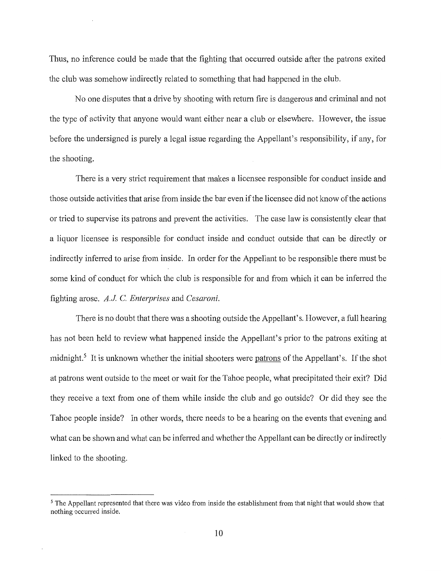Thus, no inference could be made that the fighting that occurred outside after the patrons exited the club was somehow indirectly related to something that had happened in the club.

No one disputes that a drive by shooting with return fire is dangerous and criminal and not the type of activity that anyone would want either near a club or elsewhere. However, the issue before the undersigned is purely a legal issue regarding the Appellant's responsibility, if any, for the shooting.

There is a very strict requirement that makes a licensee responsible for conduct inside and those outside activities that arise from inside the bar even if the licensee did not know of the actions or tried to supervise its patrons and prevent the activities. The case law is consistently clear that a liquor licensee is responsible for conduct inside and conduct outside that can be directly or indirectly inferred to arise from inside. In order for the Appellant to be responsible there must be some kind of conduct for which the club is responsible for and from which it can be inferred the fighting arose. *A.J* C. *Enterprises* and *Cesaroni.* 

There is no doubt that there was a shooting outside the Appellant's. However, a full hearing has not been held to review what happened inside the Appellant's prior to the patrons exiting at midnight.<sup>5</sup> It is unknown whether the initial shooters were patrons of the Appellant's. If the shot at patrons went outside to the meet or wait for the Tahoe people, what precipitated their exit? Did they receive a text from one of them while inside the club and go outside? Or did they see the Tahoe people inside? In other words, there needs to be a hearing on the events that evening and what can be shown and what can be inferred and whether the Appellant can be directly or indirectly linked to the shooting.

<sup>&</sup>lt;sup>5</sup>The Appellant represented that there was video from inside the establishment from that night that would show that nothing occurred inside.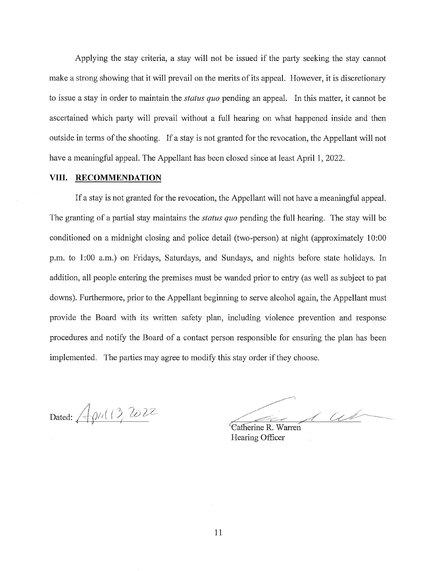Applying the stay criteria, a stay will not be issued if the party seeking the stay cannot make a strong showing that it will prevail on the merits of its appeal. However, it is discretionary to issue a stay in order to maintain the *status quo* pending an appeal. In this matter, it cannot be ascertained which party will prevail without a full hearing on what happened inside and then outside in terms of the shooting. If a stay is not granted for the revocation, the Appellant will not have a meaningful appeal. The Appellant has been closed since at least April 1, 2022.

#### **VIII. RECOMMENDATION**

If a stay is not granted for the revocation, the Appellant will not have a meaningful appeal. The granting of a partial stay maintains the *status quo* pending the full hearing. The stay will be conditioned on a midnight closing and police detail (two-person) at night (approximately 10:00 p.m. to 1 :00 a.m.) on Fridays, Saturdays, and Sundays, and nights before state holidays. In addition, all people entering the premises must be wanded prior to entry (as well as subject to pat downs). Furthermore, prior to the Appellant beginning to serve alcohol again, the Appellant must provide the Board with its written safety plan, including violence prevention and response procedures and notify the Board of a contact person responsible for ensuring the plan has been implemented. The parties may agree to modify this stay order if they choose.

Dated:  $\sqrt{\rho r/(3202^$ 

d as

Catherine R. Warren Hearing Officer